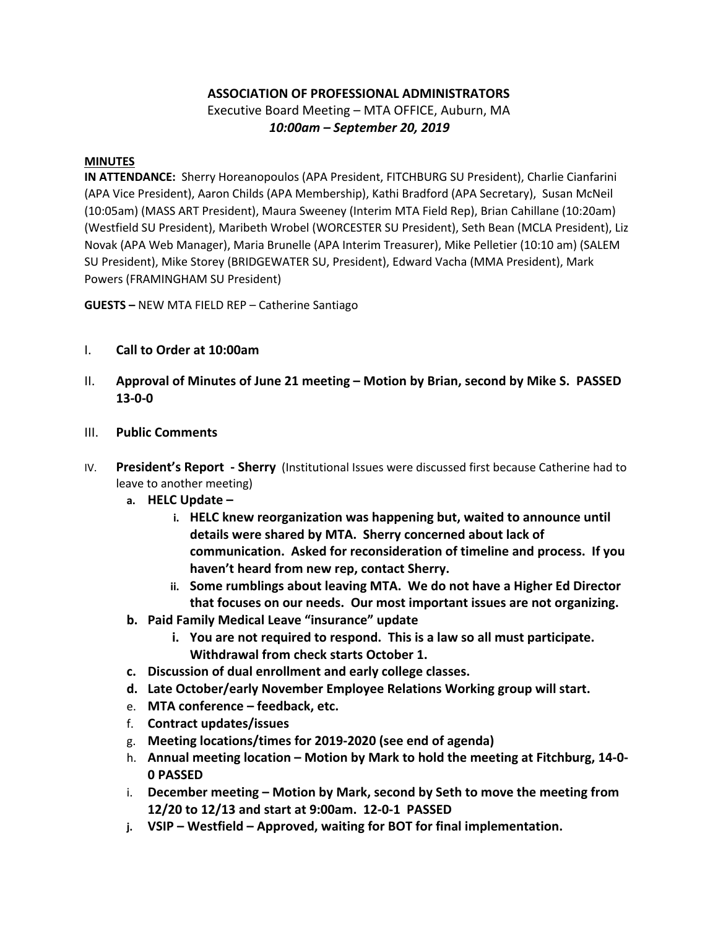## **ASSOCIATION OF PROFESSIONAL ADMINISTRATORS**

Executive Board Meeting – MTA OFFICE, Auburn, MA  *10:00am – September 20, 2019*

## **MINUTES**

**IN ATTENDANCE:** Sherry Horeanopoulos (APA President, FITCHBURG SU President), Charlie Cianfarini (APA Vice President), Aaron Childs (APA Membership), Kathi Bradford (APA Secretary), Susan McNeil (10:05am) (MASS ART President), Maura Sweeney (Interim MTA Field Rep), Brian Cahillane (10:20am) (Westfield SU President), Maribeth Wrobel (WORCESTER SU President), Seth Bean (MCLA President), Liz Novak (APA Web Manager), Maria Brunelle (APA Interim Treasurer), Mike Pelletier (10:10 am) (SALEM SU President), Mike Storey (BRIDGEWATER SU, President), Edward Vacha (MMA President), Mark Powers (FRAMINGHAM SU President)

**GUESTS –** NEW MTA FIELD REP – Catherine Santiago

- I. **Call to Order at 10:00am**
- II. **Approval of Minutes of June 21 meeting – Motion by Brian, second by Mike S. PASSED 13-0-0**
- III. **Public Comments**
- IV. **President's Report - Sherry** (Institutional Issues were discussed first because Catherine had to leave to another meeting)
	- **a. HELC Update –**
		- **i. HELC knew reorganization was happening but, waited to announce until details were shared by MTA. Sherry concerned about lack of communication. Asked for reconsideration of timeline and process. If you haven't heard from new rep, contact Sherry.**
		- **ii. Some rumblings about leaving MTA. We do not have a Higher Ed Director that focuses on our needs. Our most important issues are not organizing.**
	- **b. Paid Family Medical Leave "insurance" update** 
		- **i. You are not required to respond. This is a law so all must participate. Withdrawal from check starts October 1.**
	- **c. Discussion of dual enrollment and early college classes.**
	- **d. Late October/early November Employee Relations Working group will start.**
	- e. **MTA conference – feedback, etc.**
	- f. **Contract updates/issues**
	- g. **Meeting locations/times for 2019-2020 (see end of agenda)**
	- h. **Annual meeting location – Motion by Mark to hold the meeting at Fitchburg, 14-0- 0 PASSED**
	- i. **December meeting – Motion by Mark, second by Seth to move the meeting from 12/20 to 12/13 and start at 9:00am. 12-0-1 PASSED**
	- **j. VSIP – Westfield – Approved, waiting for BOT for final implementation.**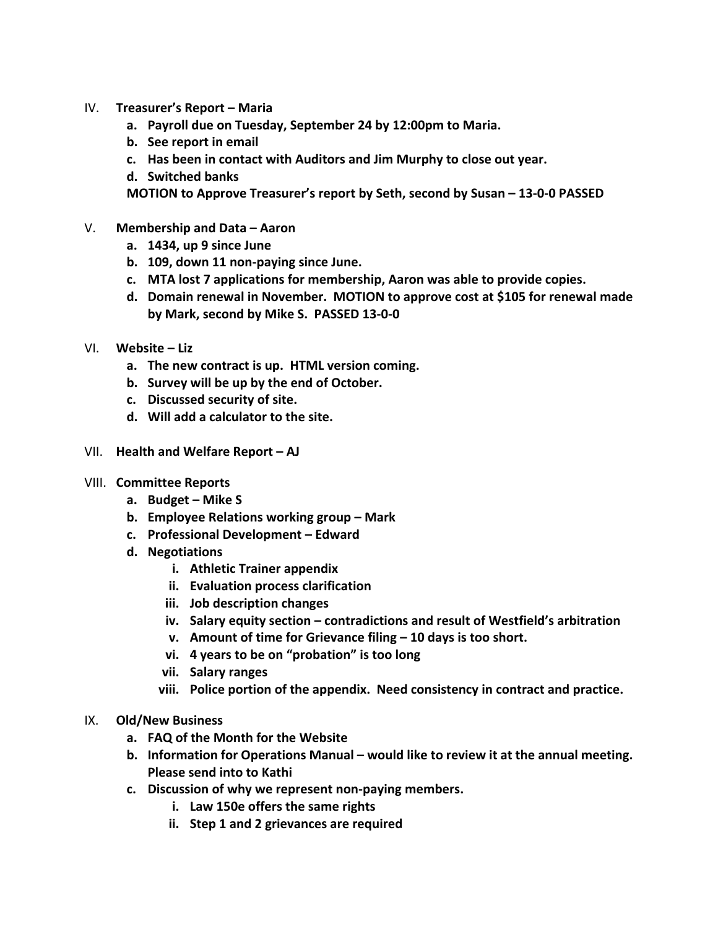- IV. **Treasurer's Report – Maria**
	- **a. Payroll due on Tuesday, September 24 by 12:00pm to Maria.**
	- **b. See report in email**
	- **c. Has been in contact with Auditors and Jim Murphy to close out year.**
	- **d. Switched banks**

**MOTION to Approve Treasurer's report by Seth, second by Susan – 13-0-0 PASSED**

- V. **Membership and Data – Aaron**
	- **a. 1434, up 9 since June**
	- **b. 109, down 11 non-paying since June.**
	- **c. MTA lost 7 applications for membership, Aaron was able to provide copies.**
	- **d. Domain renewal in November. MOTION to approve cost at \$105 for renewal made by Mark, second by Mike S. PASSED 13-0-0**
- VI. **Website – Liz**
	- **a. The new contract is up. HTML version coming.**
	- **b. Survey will be up by the end of October.**
	- **c. Discussed security of site.**
	- **d. Will add a calculator to the site.**
- VII. **Health and Welfare Report – AJ**
- VIII. **Committee Reports**
	- **a. Budget – Mike S**
	- **b. Employee Relations working group – Mark**
	- **c. Professional Development – Edward**
	- **d. Negotiations**
		- **i. Athletic Trainer appendix**
		- **ii. Evaluation process clarification**
		- **iii. Job description changes**
		- **iv. Salary equity section – contradictions and result of Westfield's arbitration**
		- **v. Amount of time for Grievance filing – 10 days is too short.**
		- **vi. 4 years to be on "probation" is too long**
		- **vii. Salary ranges**
		- **viii. Police portion of the appendix. Need consistency in contract and practice.**
- IX. **Old/New Business** 
	- **a. FAQ of the Month for the Website**
	- **b. Information for Operations Manual – would like to review it at the annual meeting. Please send into to Kathi**
	- **c. Discussion of why we represent non-paying members.** 
		- **i. Law 150e offers the same rights**
		- **ii. Step 1 and 2 grievances are required**